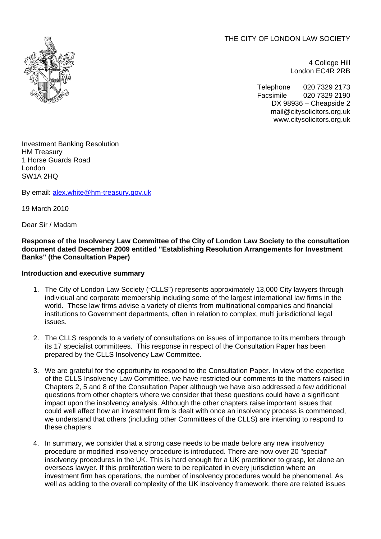THE CITY OF LONDON LAW SOCIETY



4 College Hill London EC4R 2RB

Telephone 020 7329 2173 Facsimile 020 7329 2190 DX 98936 – Cheapside 2 mail@citysolicitors.org.uk www.citysolicitors.org.uk

Investment Banking Resolution HM Treasury 1 Horse Guards Road London SW1A 2HQ

By email: [alex.white@hm-treasury.gov.uk](mailto:alex.white@hm-treasury.gov.uk)

19 March 2010

Dear Sir / Madam

### **Response of the Insolvency Law Committee of the City of London Law Society to the consultation document dated December 2009 entitled "Establishing Resolution Arrangements for Investment Banks" (the Consultation Paper)**

### **Introduction and executive summary**

- 1. The City of London Law Society ("CLLS") represents approximately 13,000 City lawyers through individual and corporate membership including some of the largest international law firms in the world. These law firms advise a variety of clients from multinational companies and financial institutions to Government departments, often in relation to complex, multi jurisdictional legal issues.
- 2. The CLLS responds to a variety of consultations on issues of importance to its members through its 17 specialist committees. This response in respect of the Consultation Paper has been prepared by the CLLS Insolvency Law Committee.
- 3. We are grateful for the opportunity to respond to the Consultation Paper. In view of the expertise of the CLLS Insolvency Law Committee, we have restricted our comments to the matters raised in Chapters 2, 5 and 8 of the Consultation Paper although we have also addressed a few additional questions from other chapters where we consider that these questions could have a significant impact upon the insolvency analysis. Although the other chapters raise important issues that could well affect how an investment firm is dealt with once an insolvency process is commenced, we understand that others (including other Committees of the CLLS) are intending to respond to these chapters.
- 4. In summary, we consider that a strong case needs to be made before any new insolvency procedure or modified insolvency procedure is introduced. There are now over 20 "special" insolvency procedures in the UK. This is hard enough for a UK practitioner to grasp, let alone an overseas lawyer. If this proliferation were to be replicated in every jurisdiction where an investment firm has operations, the number of insolvency procedures would be phenomenal. As well as adding to the overall complexity of the UK insolvency framework, there are related issues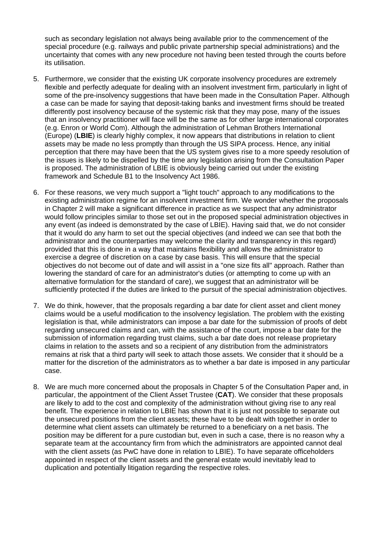such as secondary legislation not always being available prior to the commencement of the special procedure (e.g. railways and public private partnership special administrations) and the uncertainty that comes with any new procedure not having been tested through the courts before its utilisation.

- 5. Furthermore, we consider that the existing UK corporate insolvency procedures are extremely flexible and perfectly adequate for dealing with an insolvent investment firm, particularly in light of some of the pre-insolvency suggestions that have been made in the Consultation Paper. Although a case can be made for saying that deposit-taking banks and investment firms should be treated differently post insolvency because of the systemic risk that they may pose, many of the issues that an insolvency practitioner will face will be the same as for other large international corporates (e.g. Enron or World Com). Although the administration of Lehman Brothers International (Europe) (**LBIE**) is clearly highly complex, it now appears that distributions in relation to client assets may be made no less promptly than through the US SIPA process. Hence, any initial perception that there may have been that the US system gives rise to a more speedy resolution of the issues is likely to be dispelled by the time any legislation arising from the Consultation Paper is proposed. The administration of LBIE is obviously being carried out under the existing framework and Schedule B1 to the Insolvency Act 1986.
- 6. For these reasons, we very much support a "light touch" approach to any modifications to the existing administration regime for an insolvent investment firm. We wonder whether the proposals in Chapter 2 will make a significant difference in practice as we suspect that any administrator would follow principles similar to those set out in the proposed special administration objectives in any event (as indeed is demonstrated by the case of LBIE). Having said that, we do not consider that it would do any harm to set out the special objectives (and indeed we can see that both the administrator and the counterparties may welcome the clarity and transparency in this regard) provided that this is done in a way that maintains flexibility and allows the administrator to exercise a degree of discretion on a case by case basis. This will ensure that the special objectives do not become out of date and will assist in a "one size fits all" approach. Rather than lowering the standard of care for an administrator's duties (or attempting to come up with an alternative formulation for the standard of care), we suggest that an administrator will be sufficiently protected if the duties are linked to the pursuit of the special administration objectives.
- 7. We do think, however, that the proposals regarding a bar date for client asset and client money claims would be a useful modification to the insolvency legislation. The problem with the existing legislation is that, while administrators can impose a bar date for the submission of proofs of debt regarding unsecured claims and can, with the assistance of the court, impose a bar date for the submission of information regarding trust claims, such a bar date does not release proprietary claims in relation to the assets and so a recipient of any distribution from the administrators remains at risk that a third party will seek to attach those assets. We consider that it should be a matter for the discretion of the administrators as to whether a bar date is imposed in any particular case.
- 8. We are much more concerned about the proposals in Chapter 5 of the Consultation Paper and, in particular, the appointment of the Client Asset Trustee (**CAT**). We consider that these proposals are likely to add to the cost and complexity of the administration without giving rise to any real benefit. The experience in relation to LBIE has shown that it is just not possible to separate out the unsecured positions from the client assets; these have to be dealt with together in order to determine what client assets can ultimately be returned to a beneficiary on a net basis. The position may be different for a pure custodian but, even in such a case, there is no reason why a separate team at the accountancy firm from which the administrators are appointed cannot deal with the client assets (as PwC have done in relation to LBIE). To have separate officeholders appointed in respect of the client assets and the general estate would inevitably lead to duplication and potentially litigation regarding the respective roles.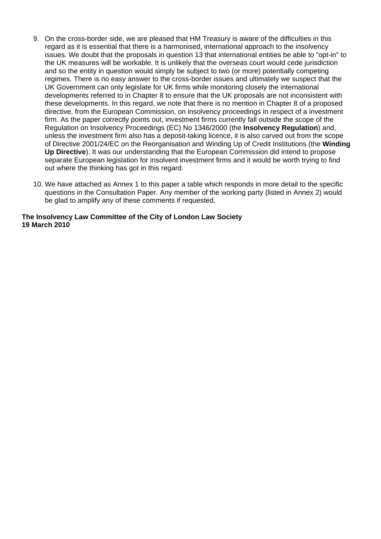- 9. On the cross-border side, we are pleased that HM Treasury is aware of the difficulties in this regard as it is essential that there is a harmonised, international approach to the insolvency issues. We doubt that the proposals in question 13 that international entities be able to "opt-in" to the UK measures will be workable. It is unlikely that the overseas court would cede jurisdiction and so the entity in question would simply be subject to two (or more) potentially competing regimes. There is no easy answer to the cross-border issues and ultimately we suspect that the UK Government can only legislate for UK firms while monitoring closely the international developments referred to in Chapter 8 to ensure that the UK proposals are not inconsistent with these developments. In this regard, we note that there is no mention in Chapter 8 of a proposed directive, from the European Commission, on insolvency proceedings in respect of a investment firm. As the paper correctly points out, investment firms currently fall outside the scope of the Regulation on Insolvency Proceedings (EC) No 1346/2000 (the **Insolvency Regulation**) and, unless the investment firm also has a deposit-taking licence, it is also carved out from the scope of Directive 2001/24/EC on the Reorganisation and Winding Up of Credit Institutions (the **Winding Up Directive**). It was our understanding that the European Commission did intend to propose separate European legislation for insolvent investment firms and it would be worth trying to find out where the thinking has got in this regard.
- 10. We have attached as Annex 1 to this paper a table which responds in more detail to the specific questions in the Consultation Paper. Any member of the working party (listed in Annex 2) would be glad to amplify any of these comments if requested.

#### **The Insolvency Law Committee of the City of London Law Society 19 March 2010**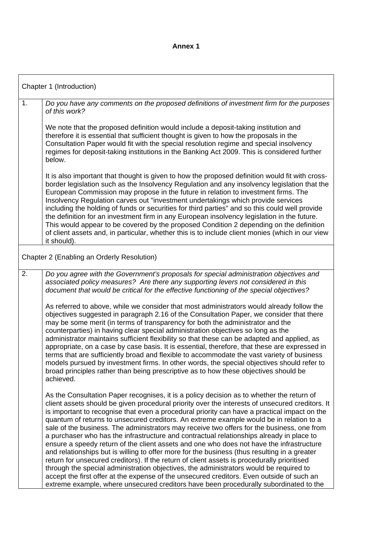## **Annex 1**

| Chapter 1 (Introduction) |                                                                                                                                                                                                                                                                                                                                                                                                                                                                                                                                                                                                                                                                                                                                                                                                                                                                                                                                                                                                                                                                                                                                                              |
|--------------------------|--------------------------------------------------------------------------------------------------------------------------------------------------------------------------------------------------------------------------------------------------------------------------------------------------------------------------------------------------------------------------------------------------------------------------------------------------------------------------------------------------------------------------------------------------------------------------------------------------------------------------------------------------------------------------------------------------------------------------------------------------------------------------------------------------------------------------------------------------------------------------------------------------------------------------------------------------------------------------------------------------------------------------------------------------------------------------------------------------------------------------------------------------------------|
| 1.                       | Do you have any comments on the proposed definitions of investment firm for the purposes<br>of this work?                                                                                                                                                                                                                                                                                                                                                                                                                                                                                                                                                                                                                                                                                                                                                                                                                                                                                                                                                                                                                                                    |
|                          | We note that the proposed definition would include a deposit-taking institution and<br>therefore it is essential that sufficient thought is given to how the proposals in the<br>Consultation Paper would fit with the special resolution regime and special insolvency<br>regimes for deposit-taking institutions in the Banking Act 2009. This is considered further<br>below.                                                                                                                                                                                                                                                                                                                                                                                                                                                                                                                                                                                                                                                                                                                                                                             |
|                          | It is also important that thought is given to how the proposed definition would fit with cross-<br>border legislation such as the Insolvency Regulation and any insolvency legislation that the<br>European Commission may propose in the future in relation to investment firms. The<br>Insolvency Regulation carves out "investment undertakings which provide services<br>including the holding of funds or securities for third parties" and so this could well provide<br>the definition for an investment firm in any European insolvency legislation in the future.<br>This would appear to be covered by the proposed Condition 2 depending on the definition<br>of client assets and, in particular, whether this is to include client monies (which in our view<br>it should).                                                                                                                                                                                                                                                                                                                                                                     |
|                          | Chapter 2 (Enabling an Orderly Resolution)                                                                                                                                                                                                                                                                                                                                                                                                                                                                                                                                                                                                                                                                                                                                                                                                                                                                                                                                                                                                                                                                                                                   |
| 2.                       | Do you agree with the Government's proposals for special administration objectives and<br>associated policy measures? Are there any supporting levers not considered in this<br>document that would be critical for the effective functioning of the special objectives?                                                                                                                                                                                                                                                                                                                                                                                                                                                                                                                                                                                                                                                                                                                                                                                                                                                                                     |
|                          | As referred to above, while we consider that most administrators would already follow the<br>objectives suggested in paragraph 2.16 of the Consultation Paper, we consider that there<br>may be some merit (in terms of transparency for both the administrator and the<br>counterparties) in having clear special administration objectives so long as the<br>administrator maintains sufficient flexibility so that these can be adapted and applied, as<br>appropriate, on a case by case basis. It is essential, therefore, that these are expressed in<br>terms that are sufficiently broad and flexible to accommodate the vast variety of business<br>models pursued by investment firms. In other words, the special objectives should refer to<br>broad principles rather than being prescriptive as to how these objectives should be<br>achieved.                                                                                                                                                                                                                                                                                                 |
|                          | As the Consultation Paper recognises, it is a policy decision as to whether the return of<br>client assets should be given procedural priority over the interests of unsecured creditors. It<br>is important to recognise that even a procedural priority can have a practical impact on the<br>quantum of returns to unsecured creditors. An extreme example would be in relation to a<br>sale of the business. The administrators may receive two offers for the business, one from<br>a purchaser who has the infrastructure and contractual relationships already in place to<br>ensure a speedy return of the client assets and one who does not have the infrastructure<br>and relationships but is willing to offer more for the business (thus resulting in a greater<br>return for unsecured creditors). If the return of client assets is procedurally prioritised<br>through the special administration objectives, the administrators would be required to<br>accept the first offer at the expense of the unsecured creditors. Even outside of such an<br>extreme example, where unsecured creditors have been procedurally subordinated to the |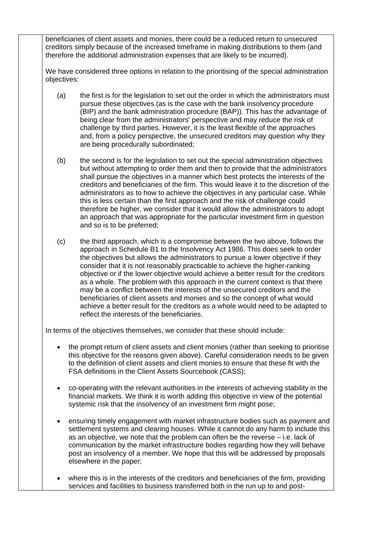beneficiaries of client assets and monies, there could be a reduced return to unsecured creditors simply because of the increased timeframe in making distributions to them (and therefore the additional administration expenses that are likely to be incurred).

We have considered three options in relation to the prioritising of the special administration objectives:

- (a) the first is for the legislation to set out the order in which the administrators must pursue these objectives (as is the case with the bank insolvency procedure (BIP) and the bank administration procedure (BAP)). This has the advantage of being clear from the administrators' perspective and may reduce the risk of challenge by third parties. However, it is the least flexible of the approaches and, from a policy perspective, the unsecured creditors may question why they are being procedurally subordinated;
- (b) the second is for the legislation to set out the special administration objectives but without attempting to order them and then to provide that the administrators shall pursue the objectives in a manner which best protects the interests of the creditors and beneficiaries of the firm. This would leave it to the discretion of the administrators as to how to achieve the objectives in any particular case. While this is less certain than the first approach and the risk of challenge could therefore be higher, we consider that it would allow the administrators to adopt an approach that was appropriate for the particular investment firm in question and so is to be preferred;
- (c) the third approach, which is a compromise between the two above, follows the approach in Schedule B1 to the Insolvency Act 1986. This does seek to order the objectives but allows the administrators to pursue a lower objective if they consider that it is not reasonably practicable to achieve the higher-ranking objective or if the lower objective would achieve a better result for the creditors as a whole. The problem with this approach in the current context is that there may be a conflict between the interests of the unsecured creditors and the beneficiaries of client assets and monies and so the concept of what would achieve a better result for the creditors as a whole would need to be adapted to reflect the interests of the beneficiaries.

In terms of the objectives themselves, we consider that these should include:

- the prompt return of client assets and client monies (rather than seeking to prioritise this objective for the reasons given above). Careful consideration needs to be given to the definition of client assets and client monies to ensure that these fit with the FSA definitions in the Client Assets Sourcebook (CASS);
- co-operating with the relevant authorities in the interests of achieving stability in the financial markets. We think it is worth adding this objective in view of the potential systemic risk that the insolvency of an investment firm might pose;
- ensuring timely engagement with market infrastructure bodies such as payment and settlement systems and clearing houses. While it cannot do any harm to include this as an objective, we note that the problem can often be the reverse – i.e. lack of communication by the market infrastructure bodies regarding how they will behave post an insolvency of a member. We hope that this will be addressed by proposals elsewhere in the paper;

• where this is in the interests of the creditors and beneficiaries of the firm, providing services and facilities to business transferred both in the run up to and post-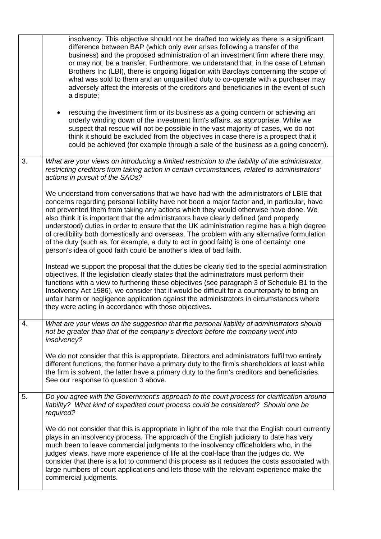|    | insolvency. This objective should not be drafted too widely as there is a significant<br>difference between BAP (which only ever arises following a transfer of the<br>business) and the proposed administration of an investment firm where there may,<br>or may not, be a transfer. Furthermore, we understand that, in the case of Lehman<br>Brothers Inc (LBI), there is ongoing litigation with Barclays concerning the scope of<br>what was sold to them and an unqualified duty to co-operate with a purchaser may<br>adversely affect the interests of the creditors and beneficiaries in the event of such<br>a dispute;<br>rescuing the investment firm or its business as a going concern or achieving an<br>orderly winding down of the investment firm's affairs, as appropriate. While we<br>suspect that rescue will not be possible in the vast majority of cases, we do not<br>think it should be excluded from the objectives in case there is a prospect that it<br>could be achieved (for example through a sale of the business as a going concern). |
|----|---------------------------------------------------------------------------------------------------------------------------------------------------------------------------------------------------------------------------------------------------------------------------------------------------------------------------------------------------------------------------------------------------------------------------------------------------------------------------------------------------------------------------------------------------------------------------------------------------------------------------------------------------------------------------------------------------------------------------------------------------------------------------------------------------------------------------------------------------------------------------------------------------------------------------------------------------------------------------------------------------------------------------------------------------------------------------|
| 3. | What are your views on introducing a limited restriction to the liability of the administrator,<br>restricting creditors from taking action in certain circumstances, related to administrators'<br>actions in pursuit of the SAOs?                                                                                                                                                                                                                                                                                                                                                                                                                                                                                                                                                                                                                                                                                                                                                                                                                                       |
|    | We understand from conversations that we have had with the administrators of LBIE that<br>concerns regarding personal liability have not been a major factor and, in particular, have<br>not prevented them from taking any actions which they would otherwise have done. We<br>also think it is important that the administrators have clearly defined (and properly<br>understood) duties in order to ensure that the UK administration regime has a high degree<br>of credibility both domestically and overseas. The problem with any alternative formulation<br>of the duty (such as, for example, a duty to act in good faith) is one of certainty: one<br>person's idea of good faith could be another's idea of bad faith.                                                                                                                                                                                                                                                                                                                                        |
|    | Instead we support the proposal that the duties be clearly tied to the special administration<br>objectives. If the legislation clearly states that the administrators must perform their<br>functions with a view to furthering these objectives (see paragraph 3 of Schedule B1 to the<br>Insolvency Act 1986), we consider that it would be difficult for a counterparty to bring an<br>unfair harm or negligence application against the administrators in circumstances where<br>they were acting in accordance with those objectives.                                                                                                                                                                                                                                                                                                                                                                                                                                                                                                                               |
| 4. | What are your views on the suggestion that the personal liability of administrators should<br>not be greater than that of the company's directors before the company went into<br>insolvency?                                                                                                                                                                                                                                                                                                                                                                                                                                                                                                                                                                                                                                                                                                                                                                                                                                                                             |
|    | We do not consider that this is appropriate. Directors and administrators fulfil two entirely<br>different functions; the former have a primary duty to the firm's shareholders at least while<br>the firm is solvent, the latter have a primary duty to the firm's creditors and beneficiaries.<br>See our response to question 3 above.                                                                                                                                                                                                                                                                                                                                                                                                                                                                                                                                                                                                                                                                                                                                 |
| 5. | Do you agree with the Government's approach to the court process for clarification around<br>liability? What kind of expedited court process could be considered? Should one be<br>required?                                                                                                                                                                                                                                                                                                                                                                                                                                                                                                                                                                                                                                                                                                                                                                                                                                                                              |
|    | We do not consider that this is appropriate in light of the role that the English court currently<br>plays in an insolvency process. The approach of the English judiciary to date has very<br>much been to leave commercial judgments to the insolvency officeholders who, in the<br>judges' views, have more experience of life at the coal-face than the judges do. We<br>consider that there is a lot to commend this process as it reduces the costs associated with<br>large numbers of court applications and lets those with the relevant experience make the<br>commercial judgments.                                                                                                                                                                                                                                                                                                                                                                                                                                                                            |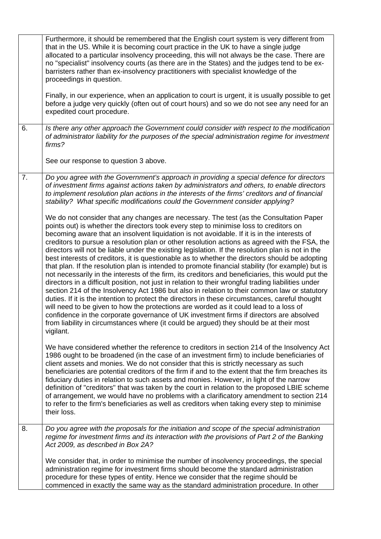|    | Furthermore, it should be remembered that the English court system is very different from<br>that in the US. While it is becoming court practice in the UK to have a single judge<br>allocated to a particular insolvency proceeding, this will not always be the case. There are<br>no "specialist" insolvency courts (as there are in the States) and the judges tend to be ex-<br>barristers rather than ex-insolvency practitioners with specialist knowledge of the<br>proceedings in question.<br>Finally, in our experience, when an application to court is urgent, it is usually possible to get<br>before a judge very quickly (often out of court hours) and so we do not see any need for an                                                                                                                                                                                                                                                                                                                                                                                                                                                                                                                                                                                                                                                                                               |
|----|--------------------------------------------------------------------------------------------------------------------------------------------------------------------------------------------------------------------------------------------------------------------------------------------------------------------------------------------------------------------------------------------------------------------------------------------------------------------------------------------------------------------------------------------------------------------------------------------------------------------------------------------------------------------------------------------------------------------------------------------------------------------------------------------------------------------------------------------------------------------------------------------------------------------------------------------------------------------------------------------------------------------------------------------------------------------------------------------------------------------------------------------------------------------------------------------------------------------------------------------------------------------------------------------------------------------------------------------------------------------------------------------------------|
|    | expedited court procedure.                                                                                                                                                                                                                                                                                                                                                                                                                                                                                                                                                                                                                                                                                                                                                                                                                                                                                                                                                                                                                                                                                                                                                                                                                                                                                                                                                                             |
| 6. | Is there any other approach the Government could consider with respect to the modification<br>of administrator liability for the purposes of the special administration regime for investment<br>firms?                                                                                                                                                                                                                                                                                                                                                                                                                                                                                                                                                                                                                                                                                                                                                                                                                                                                                                                                                                                                                                                                                                                                                                                                |
|    | See our response to question 3 above.                                                                                                                                                                                                                                                                                                                                                                                                                                                                                                                                                                                                                                                                                                                                                                                                                                                                                                                                                                                                                                                                                                                                                                                                                                                                                                                                                                  |
| 7. | Do you agree with the Government's approach in providing a special defence for directors<br>of investment firms against actions taken by administrators and others, to enable directors<br>to implement resolution plan actions in the interests of the firms' creditors and of financial<br>stability? What specific modifications could the Government consider applying?                                                                                                                                                                                                                                                                                                                                                                                                                                                                                                                                                                                                                                                                                                                                                                                                                                                                                                                                                                                                                            |
|    | We do not consider that any changes are necessary. The test (as the Consultation Paper<br>points out) is whether the directors took every step to minimise loss to creditors on<br>becoming aware that an insolvent liquidation is not avoidable. If it is in the interests of<br>creditors to pursue a resolution plan or other resolution actions as agreed with the FSA, the<br>directors will not be liable under the existing legislation. If the resolution plan is not in the<br>best interests of creditors, it is questionable as to whether the directors should be adopting<br>that plan. If the resolution plan is intended to promote financial stability (for example) but is<br>not necessarily in the interests of the firm, its creditors and beneficiaries, this would put the<br>directors in a difficult position, not just in relation to their wrongful trading liabilities under<br>section 214 of the Insolvency Act 1986 but also in relation to their common law or statutory<br>duties. If it is the intention to protect the directors in these circumstances, careful thought<br>will need to be given to how the protections are worded as it could lead to a loss of<br>confidence in the corporate governance of UK investment firms if directors are absolved<br>from liability in circumstances where (it could be argued) they should be at their most<br>vigilant. |
|    | We have considered whether the reference to creditors in section 214 of the Insolvency Act<br>1986 ought to be broadened (in the case of an investment firm) to include beneficiaries of<br>client assets and monies. We do not consider that this is strictly necessary as such<br>beneficiaries are potential creditors of the firm if and to the extent that the firm breaches its<br>fiduciary duties in relation to such assets and monies. However, in light of the narrow<br>definition of "creditors" that was taken by the court in relation to the proposed LBIE scheme<br>of arrangement, we would have no problems with a clarificatory amendment to section 214<br>to refer to the firm's beneficiaries as well as creditors when taking every step to minimise<br>their loss.                                                                                                                                                                                                                                                                                                                                                                                                                                                                                                                                                                                                            |
| 8. | Do you agree with the proposals for the initiation and scope of the special administration<br>regime for investment firms and its interaction with the provisions of Part 2 of the Banking<br>Act 2009, as described in Box 2A?                                                                                                                                                                                                                                                                                                                                                                                                                                                                                                                                                                                                                                                                                                                                                                                                                                                                                                                                                                                                                                                                                                                                                                        |
|    | We consider that, in order to minimise the number of insolvency proceedings, the special<br>administration regime for investment firms should become the standard administration<br>procedure for these types of entity. Hence we consider that the regime should be<br>commenced in exactly the same way as the standard administration procedure. In other                                                                                                                                                                                                                                                                                                                                                                                                                                                                                                                                                                                                                                                                                                                                                                                                                                                                                                                                                                                                                                           |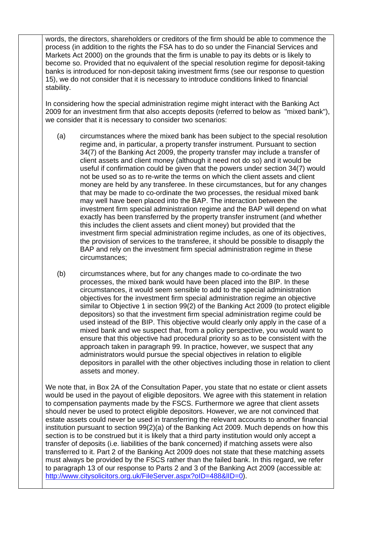words, the directors, shareholders or creditors of the firm should be able to commence the process (in addition to the rights the FSA has to do so under the Financial Services and Markets Act 2000) on the grounds that the firm is unable to pay its debts or is likely to become so. Provided that no equivalent of the special resolution regime for deposit-taking banks is introduced for non-deposit taking investment firms (see our response to question 15), we do not consider that it is necessary to introduce conditions linked to financial stability.

In considering how the special administration regime might interact with the Banking Act 2009 for an investment firm that also accepts deposits (referred to below as "mixed bank"), we consider that it is necessary to consider two scenarios:

- (a) circumstances where the mixed bank has been subject to the special resolution regime and, in particular, a property transfer instrument. Pursuant to section 34(7) of the Banking Act 2009, the property transfer may include a transfer of client assets and client money (although it need not do so) and it would be useful if confirmation could be given that the powers under section 34(7) would not be used so as to re-write the terms on which the client assets and client money are held by any transferee. In these circumstances, but for any changes that may be made to co-ordinate the two processes, the residual mixed bank may well have been placed into the BAP. The interaction between the investment firm special administration regime and the BAP will depend on what exactly has been transferred by the property transfer instrument (and whether this includes the client assets and client money) but provided that the investment firm special administration regime includes, as one of its objectives, the provision of services to the transferee, it should be possible to disapply the BAP and rely on the investment firm special administration regime in these circumstances;
- (b) circumstances where, but for any changes made to co-ordinate the two processes, the mixed bank would have been placed into the BIP. In these circumstances, it would seem sensible to add to the special administration objectives for the investment firm special administration regime an objective similar to Objective 1 in section 99(2) of the Banking Act 2009 (to protect eligible depositors) so that the investment firm special administration regime could be used instead of the BIP. This objective would clearly only apply in the case of a mixed bank and we suspect that, from a policy perspective, you would want to ensure that this objective had procedural priority so as to be consistent with the approach taken in paragraph 99. In practice, however, we suspect that any administrators would pursue the special objectives in relation to eligible depositors in parallel with the other objectives including those in relation to client assets and money.

We note that, in Box 2A of the Consultation Paper, you state that no estate or client assets would be used in the payout of eligible depositors. We agree with this statement in relation to compensation payments made by the FSCS. Furthermore we agree that client assets should never be used to protect eligible depositors. However, we are not convinced that estate assets could never be used in transferring the relevant accounts to another financial institution pursuant to section 99(2)(a) of the Banking Act 2009. Much depends on how this section is to be construed but it is likely that a third party institution would only accept a transfer of deposits (i.e. liabilities of the bank concerned) if matching assets were also transferred to it. Part 2 of the Banking Act 2009 does not state that these matching assets must always be provided by the FSCS rather than the failed bank. In this regard, we refer to paragraph 13 of our response to Parts 2 and 3 of the Banking Act 2009 (accessible at: http://www.citysolicitors.org.uk/FileServer.aspx?oID=488&IID=0).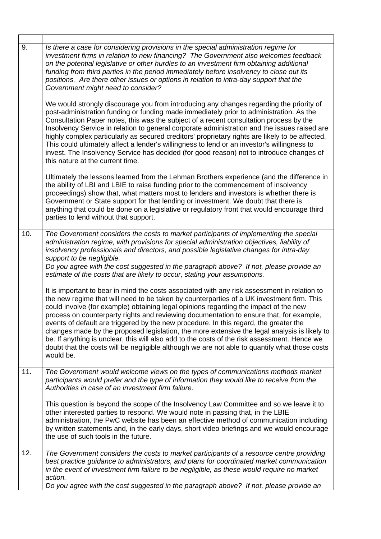| 9.  | Is there a case for considering provisions in the special administration regime for<br>investment firms in relation to new financing? The Government also welcomes feedback<br>on the potential legislative or other hurdles to an investment firm obtaining additional<br>funding from third parties in the period immediately before insolvency to close out its<br>positions. Are there other issues or options in relation to intra-day support that the<br>Government might need to consider?                                                                                                                                                                                                                                                                                  |
|-----|-------------------------------------------------------------------------------------------------------------------------------------------------------------------------------------------------------------------------------------------------------------------------------------------------------------------------------------------------------------------------------------------------------------------------------------------------------------------------------------------------------------------------------------------------------------------------------------------------------------------------------------------------------------------------------------------------------------------------------------------------------------------------------------|
|     | We would strongly discourage you from introducing any changes regarding the priority of<br>post-administration funding or funding made immediately prior to administration. As the<br>Consultation Paper notes, this was the subject of a recent consultation process by the<br>Insolvency Service in relation to general corporate administration and the issues raised are<br>highly complex particularly as secured creditors' proprietary rights are likely to be affected.<br>This could ultimately affect a lender's willingness to lend or an investor's willingness to<br>invest. The Insolvency Service has decided (for good reason) not to introduce changes of<br>this nature at the current time.                                                                      |
|     | Ultimately the lessons learned from the Lehman Brothers experience (and the difference in<br>the ability of LBI and LBIE to raise funding prior to the commencement of insolvency<br>proceedings) show that, what matters most to lenders and investors is whether there is<br>Government or State support for that lending or investment. We doubt that there is<br>anything that could be done on a legislative or regulatory front that would encourage third<br>parties to lend without that support.                                                                                                                                                                                                                                                                           |
| 10. | The Government considers the costs to market participants of implementing the special<br>administration regime, with provisions for special administration objectives, liability of<br>insolvency professionals and directors, and possible legislative changes for intra-day<br>support to be negligible.<br>Do you agree with the cost suggested in the paragraph above? If not, please provide an<br>estimate of the costs that are likely to occur, stating your assumptions.                                                                                                                                                                                                                                                                                                   |
|     | It is important to bear in mind the costs associated with any risk assessment in relation to<br>the new regime that will need to be taken by counterparties of a UK investment firm. This<br>could involve (for example) obtaining legal opinions regarding the impact of the new<br>process on counterparty rights and reviewing documentation to ensure that, for example,<br>events of default are triggered by the new procedure. In this regard, the greater the<br>changes made by the proposed legislation, the more extensive the legal analysis is likely to<br>be. If anything is unclear, this will also add to the costs of the risk assessment. Hence we<br>doubt that the costs will be negligible although we are not able to quantify what those costs<br>would be. |
| 11. | The Government would welcome views on the types of communications methods market<br>participants would prefer and the type of information they would like to receive from the<br>Authorities in case of an investment firm failure.                                                                                                                                                                                                                                                                                                                                                                                                                                                                                                                                                 |
|     | This question is beyond the scope of the Insolvency Law Committee and so we leave it to<br>other interested parties to respond. We would note in passing that, in the LBIE<br>administration, the PwC website has been an effective method of communication including<br>by written statements and, in the early days, short video briefings and we would encourage<br>the use of such tools in the future.                                                                                                                                                                                                                                                                                                                                                                         |
| 12. | The Government considers the costs to market participants of a resource centre providing<br>best practice guidance to administrators, and plans for coordinated market communication<br>in the event of investment firm failure to be negligible, as these would require no market<br>action.<br>Do you agree with the cost suggested in the paragraph above? If not, please provide an                                                                                                                                                                                                                                                                                                                                                                                             |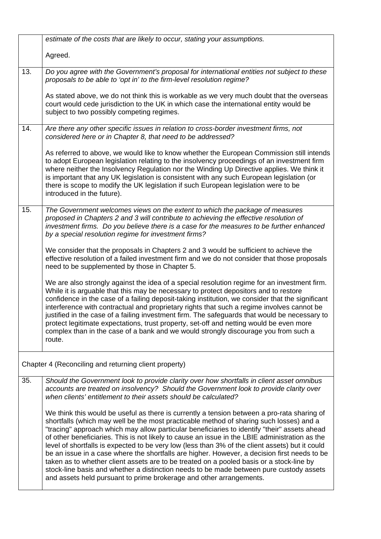|     | estimate of the costs that are likely to occur, stating your assumptions.                                                                                                                                                                                                                                                                                                                                                                                                                                                                                                                                                                                                                                                                                                                                                                                 |
|-----|-----------------------------------------------------------------------------------------------------------------------------------------------------------------------------------------------------------------------------------------------------------------------------------------------------------------------------------------------------------------------------------------------------------------------------------------------------------------------------------------------------------------------------------------------------------------------------------------------------------------------------------------------------------------------------------------------------------------------------------------------------------------------------------------------------------------------------------------------------------|
|     | Agreed.                                                                                                                                                                                                                                                                                                                                                                                                                                                                                                                                                                                                                                                                                                                                                                                                                                                   |
| 13. | Do you agree with the Government's proposal for international entities not subject to these<br>proposals to be able to 'opt in' to the firm-level resolution regime?<br>As stated above, we do not think this is workable as we very much doubt that the overseas<br>court would cede jurisdiction to the UK in which case the international entity would be<br>subject to two possibly competing regimes.                                                                                                                                                                                                                                                                                                                                                                                                                                                |
| 14. | Are there any other specific issues in relation to cross-border investment firms, not<br>considered here or in Chapter 8, that need to be addressed?                                                                                                                                                                                                                                                                                                                                                                                                                                                                                                                                                                                                                                                                                                      |
|     | As referred to above, we would like to know whether the European Commission still intends<br>to adopt European legislation relating to the insolvency proceedings of an investment firm<br>where neither the Insolvency Regulation nor the Winding Up Directive applies. We think it<br>is important that any UK legislation is consistent with any such European legislation (or<br>there is scope to modify the UK legislation if such European legislation were to be<br>introduced in the future).                                                                                                                                                                                                                                                                                                                                                    |
| 15. | The Government welcomes views on the extent to which the package of measures<br>proposed in Chapters 2 and 3 will contribute to achieving the effective resolution of<br>investment firms. Do you believe there is a case for the measures to be further enhanced<br>by a special resolution regime for investment firms?                                                                                                                                                                                                                                                                                                                                                                                                                                                                                                                                 |
|     | We consider that the proposals in Chapters 2 and 3 would be sufficient to achieve the<br>effective resolution of a failed investment firm and we do not consider that those proposals<br>need to be supplemented by those in Chapter 5.                                                                                                                                                                                                                                                                                                                                                                                                                                                                                                                                                                                                                   |
|     | We are also strongly against the idea of a special resolution regime for an investment firm.<br>While it is arguable that this may be necessary to protect depositors and to restore<br>confidence in the case of a failing deposit-taking institution, we consider that the significant<br>interference with contractual and proprietary rights that such a regime involves cannot be<br>justified in the case of a failing investment firm. The safeguards that would be necessary to<br>protect legitimate expectations, trust property, set-off and netting would be even more<br>complex than in the case of a bank and we would strongly discourage you from such a<br>route.                                                                                                                                                                       |
|     | Chapter 4 (Reconciling and returning client property)                                                                                                                                                                                                                                                                                                                                                                                                                                                                                                                                                                                                                                                                                                                                                                                                     |
| 35. | Should the Government look to provide clarity over how shortfalls in client asset omnibus<br>accounts are treated on insolvency? Should the Government look to provide clarity over<br>when clients' entitlement to their assets should be calculated?                                                                                                                                                                                                                                                                                                                                                                                                                                                                                                                                                                                                    |
|     | We think this would be useful as there is currently a tension between a pro-rata sharing of<br>shortfalls (which may well be the most practicable method of sharing such losses) and a<br>"tracing" approach which may allow particular beneficiaries to identify "their" assets ahead<br>of other beneficiaries. This is not likely to cause an issue in the LBIE administration as the<br>level of shortfalls is expected to be very low (less than 3% of the client assets) but it could<br>be an issue in a case where the shortfalls are higher. However, a decision first needs to be<br>taken as to whether client assets are to be treated on a pooled basis or a stock-line by<br>stock-line basis and whether a distinction needs to be made between pure custody assets<br>and assets held pursuant to prime brokerage and other arrangements. |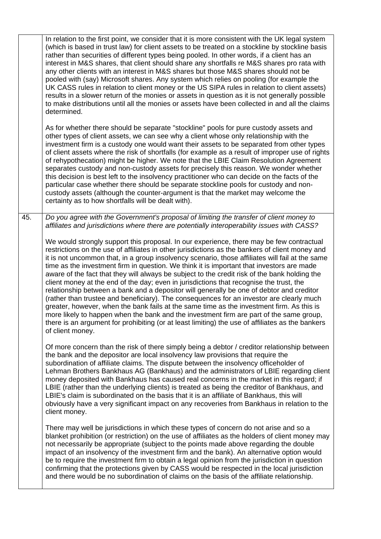|     | In relation to the first point, we consider that it is more consistent with the UK legal system<br>(which is based in trust law) for client assets to be treated on a stockline by stockline basis<br>rather than securities of different types being pooled. In other words, if a client has an<br>interest in M&S shares, that client should share any shortfalls re M&S shares pro rata with<br>any other clients with an interest in M&S shares but those M&S shares should not be<br>pooled with (say) Microsoft shares. Any system which relies on pooling (for example the<br>UK CASS rules in relation to client money or the US SIPA rules in relation to client assets)<br>results in a slower return of the monies or assets in question as it is not generally possible<br>to make distributions until all the monies or assets have been collected in and all the claims<br>determined.                                                                                                                                                                                            |
|-----|-------------------------------------------------------------------------------------------------------------------------------------------------------------------------------------------------------------------------------------------------------------------------------------------------------------------------------------------------------------------------------------------------------------------------------------------------------------------------------------------------------------------------------------------------------------------------------------------------------------------------------------------------------------------------------------------------------------------------------------------------------------------------------------------------------------------------------------------------------------------------------------------------------------------------------------------------------------------------------------------------------------------------------------------------------------------------------------------------|
|     | As for whether there should be separate "stockline" pools for pure custody assets and<br>other types of client assets, we can see why a client whose only relationship with the<br>investment firm is a custody one would want their assets to be separated from other types<br>of client assets where the risk of shortfalls (for example as a result of improper use of rights<br>of rehypothecation) might be higher. We note that the LBIE Claim Resolution Agreement<br>separates custody and non-custody assets for precisely this reason. We wonder whether<br>this decision is best left to the insolvency practitioner who can decide on the facts of the<br>particular case whether there should be separate stockline pools for custody and non-<br>custody assets (although the counter-argument is that the market may welcome the<br>certainty as to how shortfalls will be dealt with).                                                                                                                                                                                          |
| 45. | Do you agree with the Government's proposal of limiting the transfer of client money to<br>affiliates and jurisdictions where there are potentially interoperability issues with CASS?                                                                                                                                                                                                                                                                                                                                                                                                                                                                                                                                                                                                                                                                                                                                                                                                                                                                                                          |
|     | We would strongly support this proposal. In our experience, there may be few contractual<br>restrictions on the use of affiliates in other jurisdictions as the bankers of client money and<br>it is not uncommon that, in a group insolvency scenario, those affiliates will fail at the same<br>time as the investment firm in question. We think it is important that investors are made<br>aware of the fact that they will always be subject to the credit risk of the bank holding the<br>client money at the end of the day; even in jurisdictions that recognise the trust, the<br>relationship between a bank and a depositor will generally be one of debtor and creditor<br>(rather than trustee and beneficiary). The consequences for an investor are clearly much<br>greater, however, when the bank fails at the same time as the investment firm. As this is<br>more likely to happen when the bank and the investment firm are part of the same group,<br>there is an argument for prohibiting (or at least limiting) the use of affiliates as the bankers<br>of client money. |
|     | Of more concern than the risk of there simply being a debtor / creditor relationship between<br>the bank and the depositor are local insolvency law provisions that require the<br>subordination of affiliate claims. The dispute between the insolvency officeholder of<br>Lehman Brothers Bankhaus AG (Bankhaus) and the administrators of LBIE regarding client<br>money deposited with Bankhaus has caused real concerns in the market in this regard; if<br>LBIE (rather than the underlying clients) is treated as being the creditor of Bankhaus, and<br>LBIE's claim is subordinated on the basis that it is an affiliate of Bankhaus, this will<br>obviously have a very significant impact on any recoveries from Bankhaus in relation to the<br>client money.                                                                                                                                                                                                                                                                                                                        |
|     | There may well be jurisdictions in which these types of concern do not arise and so a<br>blanket prohibition (or restriction) on the use of affiliates as the holders of client money may<br>not necessarily be appropriate (subject to the points made above regarding the double<br>impact of an insolvency of the investment firm and the bank). An alternative option would<br>be to require the investment firm to obtain a legal opinion from the jurisdiction in question<br>confirming that the protections given by CASS would be respected in the local jurisdiction<br>and there would be no subordination of claims on the basis of the affiliate relationship.                                                                                                                                                                                                                                                                                                                                                                                                                     |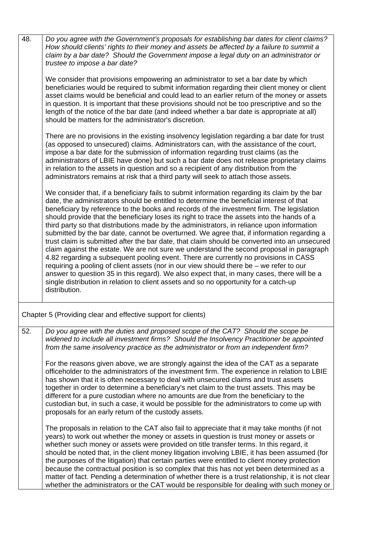| 48. | Do you agree with the Government's proposals for establishing bar dates for client claims?<br>How should clients' rights to their money and assets be affected by a failure to summit a<br>claim by a bar date? Should the Government impose a legal duty on an administrator or<br>trustee to impose a bar date?                                                                                                                                                                                                                                                                                                                                                                                                                                                                                                                                                                                                                                                                                                                                                                                                                                                         |
|-----|---------------------------------------------------------------------------------------------------------------------------------------------------------------------------------------------------------------------------------------------------------------------------------------------------------------------------------------------------------------------------------------------------------------------------------------------------------------------------------------------------------------------------------------------------------------------------------------------------------------------------------------------------------------------------------------------------------------------------------------------------------------------------------------------------------------------------------------------------------------------------------------------------------------------------------------------------------------------------------------------------------------------------------------------------------------------------------------------------------------------------------------------------------------------------|
|     | We consider that provisions empowering an administrator to set a bar date by which<br>beneficiaries would be required to submit information regarding their client money or client<br>asset claims would be beneficial and could lead to an earlier return of the money or assets<br>in question. It is important that these provisions should not be too prescriptive and so the<br>length of the notice of the bar date (and indeed whether a bar date is appropriate at all)<br>should be matters for the administrator's discretion.                                                                                                                                                                                                                                                                                                                                                                                                                                                                                                                                                                                                                                  |
|     | There are no provisions in the existing insolvency legislation regarding a bar date for trust<br>(as opposed to unsecured) claims. Administrators can, with the assistance of the court,<br>impose a bar date for the submission of information regarding trust claims (as the<br>administrators of LBIE have done) but such a bar date does not release proprietary claims<br>in relation to the assets in question and so a recipient of any distribution from the<br>administrators remains at risk that a third party will seek to attach those assets.                                                                                                                                                                                                                                                                                                                                                                                                                                                                                                                                                                                                               |
|     | We consider that, if a beneficiary fails to submit information regarding its claim by the bar<br>date, the administrators should be entitled to determine the beneficial interest of that<br>beneficiary by reference to the books and records of the investment firm. The legislation<br>should provide that the beneficiary loses its right to trace the assets into the hands of a<br>third party so that distributions made by the administrators, in reliance upon information<br>submitted by the bar date, cannot be overturned. We agree that, if information regarding a<br>trust claim is submitted after the bar date, that claim should be converted into an unsecured<br>claim against the estate. We are not sure we understand the second proposal in paragraph<br>4.82 regarding a subsequent pooling event. There are currently no provisions in CASS<br>requiring a pooling of client assets (nor in our view should there be – we refer to our<br>answer to question 35 in this regard). We also expect that, in many cases, there will be a<br>single distribution in relation to client assets and so no opportunity for a catch-up<br>distribution. |
|     | Chapter 5 (Providing clear and effective support for clients)                                                                                                                                                                                                                                                                                                                                                                                                                                                                                                                                                                                                                                                                                                                                                                                                                                                                                                                                                                                                                                                                                                             |
| 52. | Do you agree with the duties and proposed scope of the CAT? Should the scope be<br>widened to include all investment firms? Should the Insolvency Practitioner be appointed<br>from the same insolvency practice as the administrator or from an independent firm?                                                                                                                                                                                                                                                                                                                                                                                                                                                                                                                                                                                                                                                                                                                                                                                                                                                                                                        |
|     | For the reasons given above, we are strongly against the idea of the CAT as a separate<br>officeholder to the administrators of the investment firm. The experience in relation to LBIE<br>has shown that it is often necessary to deal with unsecured claims and trust assets<br>together in order to determine a beneficiary's net claim to the trust assets. This may be<br>different for a pure custodian where no amounts are due from the beneficiary to the<br>custodian but, in such a case, it would be possible for the administrators to come up with<br>proposals for an early return of the custody assets.                                                                                                                                                                                                                                                                                                                                                                                                                                                                                                                                                  |
|     | The proposals in relation to the CAT also fail to appreciate that it may take months (if not<br>years) to work out whether the money or assets in question is trust money or assets or<br>whether such money or assets were provided on title transfer terms. In this regard, it<br>should be noted that, in the client money litigation involving LBIE, it has been assumed (for<br>the purposes of the litigation) that certain parties were entitled to client money protection<br>because the contractual position is so complex that this has not yet been determined as a<br>matter of fact. Pending a determination of whether there is a trust relationship, it is not clear<br>whether the administrators or the CAT would be responsible for dealing with such money or                                                                                                                                                                                                                                                                                                                                                                                         |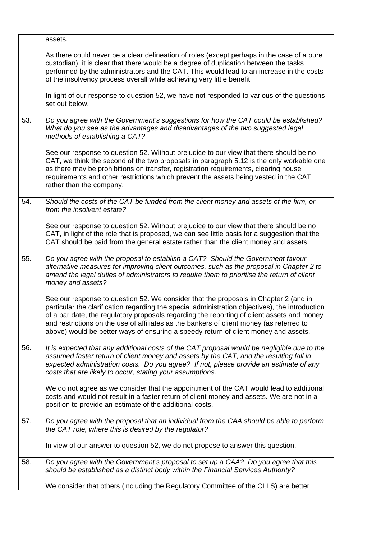|     | assets.                                                                                                                                                                                                                                                                                                                                                                                                                                                                  |
|-----|--------------------------------------------------------------------------------------------------------------------------------------------------------------------------------------------------------------------------------------------------------------------------------------------------------------------------------------------------------------------------------------------------------------------------------------------------------------------------|
|     | As there could never be a clear delineation of roles (except perhaps in the case of a pure<br>custodian), it is clear that there would be a degree of duplication between the tasks<br>performed by the administrators and the CAT. This would lead to an increase in the costs<br>of the insolvency process overall while achieving very little benefit.                                                                                                                |
|     | In light of our response to question 52, we have not responded to various of the questions<br>set out below.                                                                                                                                                                                                                                                                                                                                                             |
| 53. | Do you agree with the Government's suggestions for how the CAT could be established?<br>What do you see as the advantages and disadvantages of the two suggested legal<br>methods of establishing a CAT?                                                                                                                                                                                                                                                                 |
|     | See our response to question 52. Without prejudice to our view that there should be no<br>CAT, we think the second of the two proposals in paragraph 5.12 is the only workable one<br>as there may be prohibitions on transfer, registration requirements, clearing house<br>requirements and other restrictions which prevent the assets being vested in the CAT<br>rather than the company.                                                                            |
| 54. | Should the costs of the CAT be funded from the client money and assets of the firm, or<br>from the insolvent estate?                                                                                                                                                                                                                                                                                                                                                     |
|     | See our response to question 52. Without prejudice to our view that there should be no<br>CAT, in light of the role that is proposed, we can see little basis for a suggestion that the<br>CAT should be paid from the general estate rather than the client money and assets.                                                                                                                                                                                           |
| 55. | Do you agree with the proposal to establish a CAT? Should the Government favour<br>alternative measures for improving client outcomes, such as the proposal in Chapter 2 to<br>amend the legal duties of administrators to require them to prioritise the return of client<br>money and assets?                                                                                                                                                                          |
|     | See our response to question 52. We consider that the proposals in Chapter 2 (and in<br>particular the clarification regarding the special administration objectives), the introduction<br>of a bar date, the regulatory proposals regarding the reporting of client assets and money<br>and restrictions on the use of affiliates as the bankers of client money (as referred to<br>above) would be better ways of ensuring a speedy return of client money and assets. |
| 56. | It is expected that any additional costs of the CAT proposal would be negligible due to the<br>assumed faster return of client money and assets by the CAT, and the resulting fall in<br>expected administration costs. Do you agree? If not, please provide an estimate of any<br>costs that are likely to occur, stating your assumptions.                                                                                                                             |
|     | We do not agree as we consider that the appointment of the CAT would lead to additional<br>costs and would not result in a faster return of client money and assets. We are not in a<br>position to provide an estimate of the additional costs.                                                                                                                                                                                                                         |
| 57. | Do you agree with the proposal that an individual from the CAA should be able to perform<br>the CAT role, where this is desired by the regulator?                                                                                                                                                                                                                                                                                                                        |
|     | In view of our answer to question 52, we do not propose to answer this question.                                                                                                                                                                                                                                                                                                                                                                                         |
| 58. | Do you agree with the Government's proposal to set up a CAA? Do you agree that this<br>should be established as a distinct body within the Financial Services Authority?                                                                                                                                                                                                                                                                                                 |
|     | We consider that others (including the Regulatory Committee of the CLLS) are better                                                                                                                                                                                                                                                                                                                                                                                      |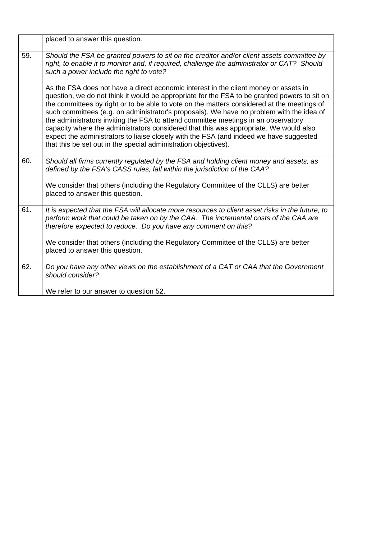| 59.<br>Should the FSA be granted powers to sit on the creditor and/or client assets committee by<br>right, to enable it to monitor and, if required, challenge the administrator or CAT? Should<br>such a power include the right to vote?<br>As the FSA does not have a direct economic interest in the client money or assets in<br>question, we do not think it would be appropriate for the FSA to be granted powers to sit on<br>the committees by right or to be able to vote on the matters considered at the meetings of<br>such committees (e.g. on administrator's proposals). We have no problem with the idea of<br>the administrators inviting the FSA to attend committee meetings in an observatory<br>capacity where the administrators considered that this was appropriate. We would also<br>expect the administrators to liaise closely with the FSA (and indeed we have suggested<br>that this be set out in the special administration objectives).<br>60.<br>Should all firms currently regulated by the FSA and holding client money and assets, as<br>defined by the FSA's CASS rules, fall within the jurisdiction of the CAA?<br>We consider that others (including the Regulatory Committee of the CLLS) are better<br>placed to answer this question.<br>61.<br>It is expected that the FSA will allocate more resources to client asset risks in the future, to<br>perform work that could be taken on by the CAA. The incremental costs of the CAA are<br>therefore expected to reduce. Do you have any comment on this?<br>We consider that others (including the Regulatory Committee of the CLLS) are better<br>placed to answer this question.<br>62.<br>Do you have any other views on the establishment of a CAT or CAA that the Government<br>should consider?<br>We refer to our answer to question 52. | placed to answer this question. |
|-----------------------------------------------------------------------------------------------------------------------------------------------------------------------------------------------------------------------------------------------------------------------------------------------------------------------------------------------------------------------------------------------------------------------------------------------------------------------------------------------------------------------------------------------------------------------------------------------------------------------------------------------------------------------------------------------------------------------------------------------------------------------------------------------------------------------------------------------------------------------------------------------------------------------------------------------------------------------------------------------------------------------------------------------------------------------------------------------------------------------------------------------------------------------------------------------------------------------------------------------------------------------------------------------------------------------------------------------------------------------------------------------------------------------------------------------------------------------------------------------------------------------------------------------------------------------------------------------------------------------------------------------------------------------------------------------------------------------------------------------------------------------------------------------------------------------------------------------|---------------------------------|
|                                                                                                                                                                                                                                                                                                                                                                                                                                                                                                                                                                                                                                                                                                                                                                                                                                                                                                                                                                                                                                                                                                                                                                                                                                                                                                                                                                                                                                                                                                                                                                                                                                                                                                                                                                                                                                               |                                 |
|                                                                                                                                                                                                                                                                                                                                                                                                                                                                                                                                                                                                                                                                                                                                                                                                                                                                                                                                                                                                                                                                                                                                                                                                                                                                                                                                                                                                                                                                                                                                                                                                                                                                                                                                                                                                                                               |                                 |
|                                                                                                                                                                                                                                                                                                                                                                                                                                                                                                                                                                                                                                                                                                                                                                                                                                                                                                                                                                                                                                                                                                                                                                                                                                                                                                                                                                                                                                                                                                                                                                                                                                                                                                                                                                                                                                               |                                 |
|                                                                                                                                                                                                                                                                                                                                                                                                                                                                                                                                                                                                                                                                                                                                                                                                                                                                                                                                                                                                                                                                                                                                                                                                                                                                                                                                                                                                                                                                                                                                                                                                                                                                                                                                                                                                                                               |                                 |
|                                                                                                                                                                                                                                                                                                                                                                                                                                                                                                                                                                                                                                                                                                                                                                                                                                                                                                                                                                                                                                                                                                                                                                                                                                                                                                                                                                                                                                                                                                                                                                                                                                                                                                                                                                                                                                               |                                 |
|                                                                                                                                                                                                                                                                                                                                                                                                                                                                                                                                                                                                                                                                                                                                                                                                                                                                                                                                                                                                                                                                                                                                                                                                                                                                                                                                                                                                                                                                                                                                                                                                                                                                                                                                                                                                                                               |                                 |
|                                                                                                                                                                                                                                                                                                                                                                                                                                                                                                                                                                                                                                                                                                                                                                                                                                                                                                                                                                                                                                                                                                                                                                                                                                                                                                                                                                                                                                                                                                                                                                                                                                                                                                                                                                                                                                               |                                 |
|                                                                                                                                                                                                                                                                                                                                                                                                                                                                                                                                                                                                                                                                                                                                                                                                                                                                                                                                                                                                                                                                                                                                                                                                                                                                                                                                                                                                                                                                                                                                                                                                                                                                                                                                                                                                                                               |                                 |